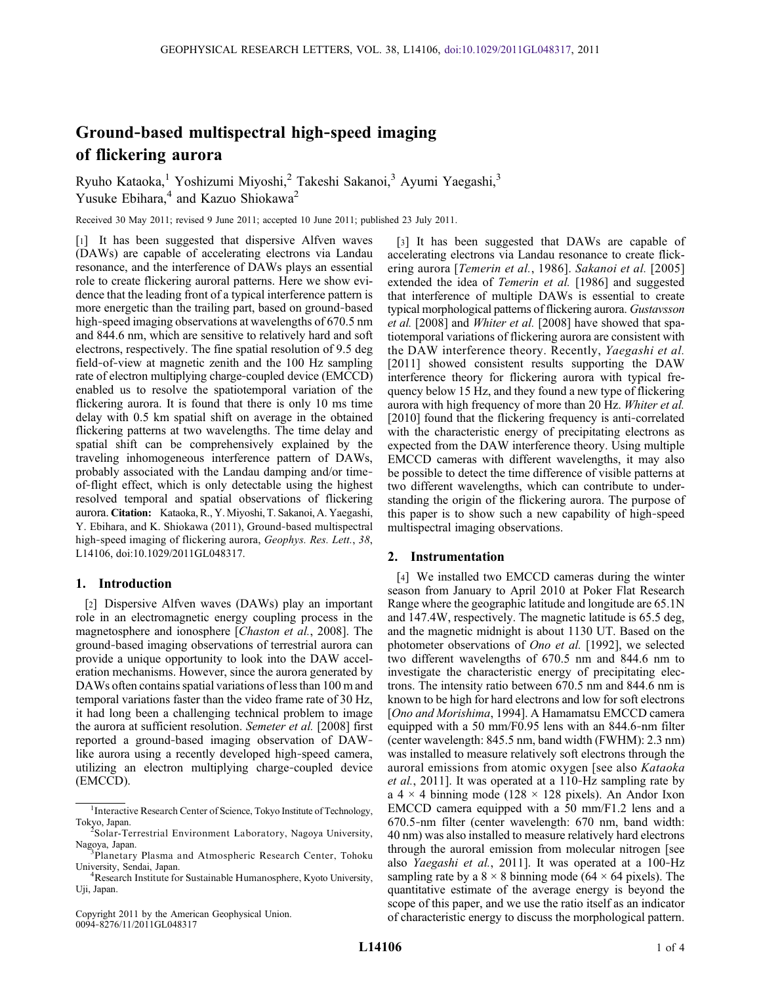# Ground‐based multispectral high‐speed imaging of flickering aurora

Ryuho Kataoka,<sup>1</sup> Yoshizumi Miyoshi,<sup>2</sup> Takeshi Sakanoi,<sup>3</sup> Ayumi Yaegashi,<sup>3</sup> Yusuke Ebihara,<sup>4</sup> and Kazuo Shiokawa<sup>2</sup>

Received 30 May 2011; revised 9 June 2011; accepted 10 June 2011; published 23 July 2011.

[1] It has been suggested that dispersive Alfven waves (DAWs) are capable of accelerating electrons via Landau resonance, and the interference of DAWs plays an essential role to create flickering auroral patterns. Here we show evidence that the leading front of a typical interference pattern is more energetic than the trailing part, based on ground‐based high-speed imaging observations at wavelengths of 670.5 nm and 844.6 nm, which are sensitive to relatively hard and soft electrons, respectively. The fine spatial resolution of 9.5 deg field‐of‐view at magnetic zenith and the 100 Hz sampling rate of electron multiplying charge‐coupled device (EMCCD) enabled us to resolve the spatiotemporal variation of the flickering aurora. It is found that there is only 10 ms time delay with 0.5 km spatial shift on average in the obtained flickering patterns at two wavelengths. The time delay and spatial shift can be comprehensively explained by the traveling inhomogeneous interference pattern of DAWs, probably associated with the Landau damping and/or time‐ of‐flight effect, which is only detectable using the highest resolved temporal and spatial observations of flickering aurora. Citation: Kataoka, R., Y. Miyoshi, T. Sakanoi, A. Yaegashi, Y. Ebihara, and K. Shiokawa (2011), Ground‐based multispectral high-speed imaging of flickering aurora, Geophys. Res. Lett., 38, L14106, doi:10.1029/2011GL048317.

## 1. Introduction

[2] Dispersive Alfven waves (DAWs) play an important role in an electromagnetic energy coupling process in the magnetosphere and ionosphere [*Chaston et al.*, 2008]. The ground‐based imaging observations of terrestrial aurora can provide a unique opportunity to look into the DAW acceleration mechanisms. However, since the aurora generated by DAWs often contains spatial variations of less than 100 m and temporal variations faster than the video frame rate of 30 Hz, it had long been a challenging technical problem to image the aurora at sufficient resolution. Semeter et al. [2008] first reported a ground‐based imaging observation of DAW‐ like aurora using a recently developed high‐speed camera, utilizing an electron multiplying charge‐coupled device (EMCCD).

Copyright 2011 by the American Geophysical Union. 0094‐8276/11/2011GL048317

[3] It has been suggested that DAWs are capable of accelerating electrons via Landau resonance to create flickering aurora [Temerin et al., 1986]. Sakanoi et al. [2005] extended the idea of Temerin et al. [1986] and suggested that interference of multiple DAWs is essential to create typical morphological patterns of flickering aurora. Gustavsson et al. [2008] and Whiter et al. [2008] have showed that spatiotemporal variations of flickering aurora are consistent with the DAW interference theory. Recently, Yaegashi et al. [2011] showed consistent results supporting the DAW interference theory for flickering aurora with typical frequency below 15 Hz, and they found a new type of flickering aurora with high frequency of more than 20 Hz. Whiter et al. [2010] found that the flickering frequency is anti-correlated with the characteristic energy of precipitating electrons as expected from the DAW interference theory. Using multiple EMCCD cameras with different wavelengths, it may also be possible to detect the time difference of visible patterns at two different wavelengths, which can contribute to understanding the origin of the flickering aurora. The purpose of this paper is to show such a new capability of high‐speed multispectral imaging observations.

### 2. Instrumentation

[4] We installed two EMCCD cameras during the winter season from January to April 2010 at Poker Flat Research Range where the geographic latitude and longitude are 65.1N and 147.4W, respectively. The magnetic latitude is 65.5 deg, and the magnetic midnight is about 1130 UT. Based on the photometer observations of Ono et al. [1992], we selected two different wavelengths of 670.5 nm and 844.6 nm to investigate the characteristic energy of precipitating electrons. The intensity ratio between 670.5 nm and 844.6 nm is known to be high for hard electrons and low for soft electrons [Ono and Morishima, 1994]. A Hamamatsu EMCCD camera equipped with a 50 mm/F0.95 lens with an 844.6‐nm filter (center wavelength: 845.5 nm, band width (FWHM): 2.3 nm) was installed to measure relatively soft electrons through the auroral emissions from atomic oxygen [see also Kataoka et al., 2011]. It was operated at a 110‐Hz sampling rate by a 4  $\times$  4 binning mode (128  $\times$  128 pixels). An Andor Ixon EMCCD camera equipped with a 50 mm/F1.2 lens and a 670.5‐nm filter (center wavelength: 670 nm, band width: 40 nm) was also installed to measure relatively hard electrons through the auroral emission from molecular nitrogen [see also Yaegashi et al., 2011]. It was operated at a 100‐Hz sampling rate by a  $8 \times 8$  binning mode (64  $\times$  64 pixels). The quantitative estimate of the average energy is beyond the scope of this paper, and we use the ratio itself as an indicator of characteristic energy to discuss the morphological pattern.

<sup>&</sup>lt;sup>1</sup>Interactive Research Center of Science, Tokyo Institute of Technology,

Tokyo, Japan. <sup>2</sup> Solar-Terrestrial Environment Laboratory, Nagoya University, Nagoya, Japan.

<sup>&</sup>lt;sup>3</sup>Planetary Plasma and Atmospheric Research Center, Tohoku University, Sendai, Japan. <sup>4</sup>

<sup>&</sup>lt;sup>4</sup>Research Institute for Sustainable Humanosphere, Kyoto University, Uji, Japan.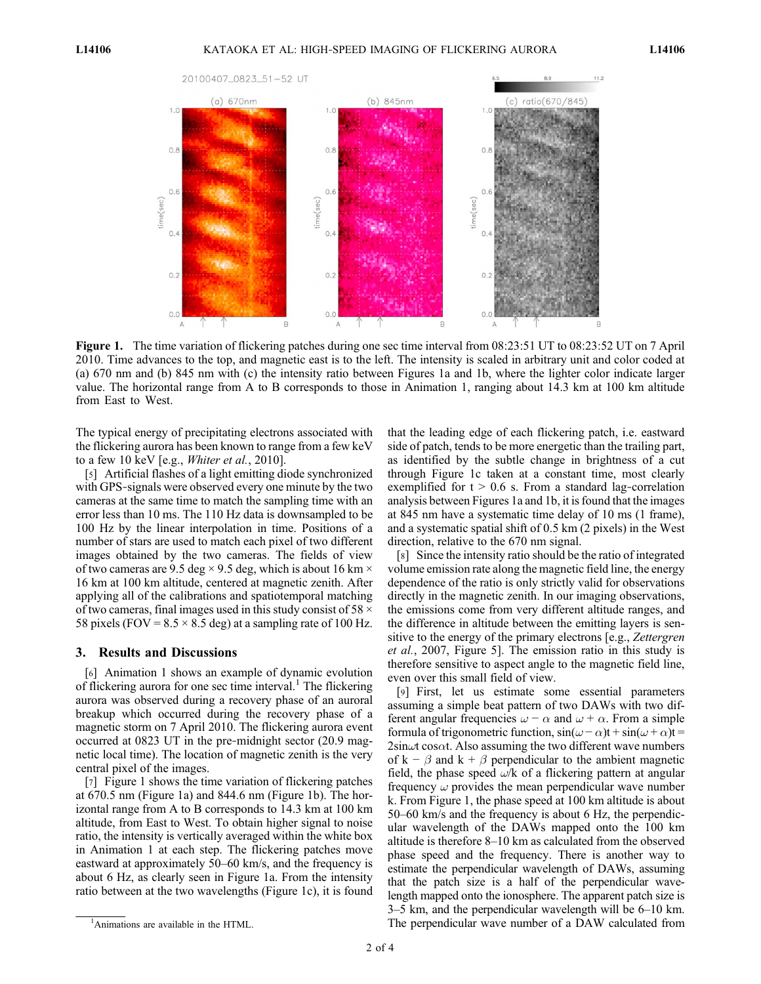

Figure 1. The time variation of flickering patches during one sec time interval from 08:23:51 UT to 08:23:52 UT on 7 April 2010. Time advances to the top, and magnetic east is to the left. The intensity is scaled in arbitrary unit and color coded at (a) 670 nm and (b) 845 nm with (c) the intensity ratio between Figures 1a and 1b, where the lighter color indicate larger value. The horizontal range from A to B corresponds to those in Animation 1, ranging about 14.3 km at 100 km altitude from East to West.

The typical energy of precipitating electrons associated with the flickering aurora has been known to range from a few keV to a few 10 keV [e.g., *Whiter et al.*, 2010].

[5] Artificial flashes of a light emitting diode synchronized with GPS-signals were observed every one minute by the two cameras at the same time to match the sampling time with an error less than 10 ms. The 110 Hz data is downsampled to be 100 Hz by the linear interpolation in time. Positions of a number of stars are used to match each pixel of two different images obtained by the two cameras. The fields of view of two cameras are 9.5 deg  $\times$  9.5 deg, which is about 16 km  $\times$ 16 km at 100 km altitude, centered at magnetic zenith. After applying all of the calibrations and spatiotemporal matching of two cameras, final images used in this study consist of 58 × 58 pixels (FOV =  $8.5 \times 8.5$  deg) at a sampling rate of 100 Hz.

#### 3. Results and Discussions

[6] Animation 1 shows an example of dynamic evolution of flickering aurora for one sec time interval.<sup>1</sup> The flickering aurora was observed during a recovery phase of an auroral breakup which occurred during the recovery phase of a magnetic storm on 7 April 2010. The flickering aurora event occurred at 0823 UT in the pre‐midnight sector (20.9 magnetic local time). The location of magnetic zenith is the very central pixel of the images.

[7] Figure 1 shows the time variation of flickering patches at 670.5 nm (Figure 1a) and 844.6 nm (Figure 1b). The horizontal range from A to B corresponds to 14.3 km at 100 km altitude, from East to West. To obtain higher signal to noise ratio, the intensity is vertically averaged within the white box in Animation 1 at each step. The flickering patches move eastward at approximately 50–60 km/s, and the frequency is about 6 Hz, as clearly seen in Figure 1a. From the intensity ratio between at the two wavelengths (Figure 1c), it is found that the leading edge of each flickering patch, i.e. eastward side of patch, tends to be more energetic than the trailing part, as identified by the subtle change in brightness of a cut through Figure 1c taken at a constant time, most clearly exemplified for  $t > 0.6$  s. From a standard lag-correlation analysis between Figures 1a and 1b, it is found that the images at 845 nm have a systematic time delay of 10 ms (1 frame), and a systematic spatial shift of 0.5 km (2 pixels) in the West direction, relative to the 670 nm signal.

[8] Since the intensity ratio should be the ratio of integrated volume emission rate along the magnetic field line, the energy dependence of the ratio is only strictly valid for observations directly in the magnetic zenith. In our imaging observations, the emissions come from very different altitude ranges, and the difference in altitude between the emitting layers is sensitive to the energy of the primary electrons [e.g., Zettergren] et al., 2007, Figure 5]. The emission ratio in this study is therefore sensitive to aspect angle to the magnetic field line, even over this small field of view.

[9] First, let us estimate some essential parameters assuming a simple beat pattern of two DAWs with two different angular frequencies  $\omega - \alpha$  and  $\omega + \alpha$ . From a simple formula of trigonometric function,  $sin(\omega - \alpha)t + sin(\omega + \alpha)t =$  $2\sin\omega t \cos\alpha t$ . Also assuming the two different wave numbers of k –  $\beta$  and k +  $\beta$  perpendicular to the ambient magnetic field, the phase speed  $\omega$ /k of a flickering pattern at angular frequency  $\omega$  provides the mean perpendicular wave number k. From Figure 1, the phase speed at 100 km altitude is about 50–60 km/s and the frequency is about 6 Hz, the perpendicular wavelength of the DAWs mapped onto the 100 km altitude is therefore 8–10 km as calculated from the observed phase speed and the frequency. There is another way to estimate the perpendicular wavelength of DAWs, assuming that the patch size is a half of the perpendicular wavelength mapped onto the ionosphere. The apparent patch size is 3–5 km, and the perpendicular wavelength will be 6–10 km. The perpendicular wave number of a DAW calculated from

<sup>&</sup>lt;sup>1</sup>Animations are available in the HTML.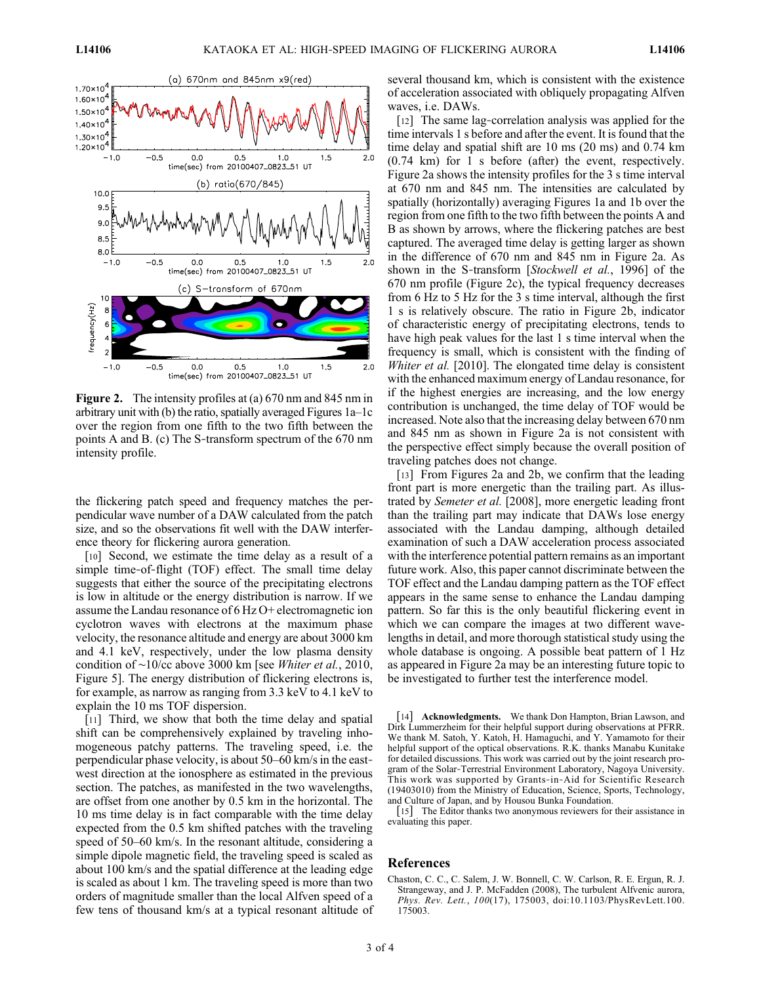

Figure 2. The intensity profiles at (a) 670 nm and 845 nm in arbitrary unit with (b) the ratio, spatially averaged Figures 1a–1c over the region from one fifth to the two fifth between the points A and B. (c) The S‐transform spectrum of the 670 nm intensity profile.

the flickering patch speed and frequency matches the perpendicular wave number of a DAW calculated from the patch size, and so the observations fit well with the DAW interference theory for flickering aurora generation.

[10] Second, we estimate the time delay as a result of a simple time-of-flight (TOF) effect. The small time delay suggests that either the source of the precipitating electrons is low in altitude or the energy distribution is narrow. If we assume the Landau resonance of 6 Hz O+ electromagnetic ion cyclotron waves with electrons at the maximum phase velocity, the resonance altitude and energy are about 3000 km and 4.1 keV, respectively, under the low plasma density condition of ∼10/cc above 3000 km [see Whiter et al., 2010, Figure 5]. The energy distribution of flickering electrons is, for example, as narrow as ranging from 3.3 keV to 4.1 keV to explain the 10 ms TOF dispersion.

[11] Third, we show that both the time delay and spatial shift can be comprehensively explained by traveling inhomogeneous patchy patterns. The traveling speed, i.e. the perpendicular phase velocity, is about 50–60 km/s in the east‐ west direction at the ionosphere as estimated in the previous section. The patches, as manifested in the two wavelengths, are offset from one another by 0.5 km in the horizontal. The 10 ms time delay is in fact comparable with the time delay expected from the 0.5 km shifted patches with the traveling speed of 50–60 km/s. In the resonant altitude, considering a simple dipole magnetic field, the traveling speed is scaled as about 100 km/s and the spatial difference at the leading edge is scaled as about 1 km. The traveling speed is more than two orders of magnitude smaller than the local Alfven speed of a few tens of thousand km/s at a typical resonant altitude of several thousand km, which is consistent with the existence of acceleration associated with obliquely propagating Alfven waves, i.e. DAWs.

[12] The same lag-correlation analysis was applied for the time intervals 1 s before and after the event. It is found that the time delay and spatial shift are 10 ms (20 ms) and 0.74 km (0.74 km) for 1 s before (after) the event, respectively. Figure 2a shows the intensity profiles for the 3 s time interval at 670 nm and 845 nm. The intensities are calculated by spatially (horizontally) averaging Figures 1a and 1b over the region from one fifth to the two fifth between the points A and B as shown by arrows, where the flickering patches are best captured. The averaged time delay is getting larger as shown in the difference of 670 nm and 845 nm in Figure 2a. As shown in the S-transform [Stockwell et al., 1996] of the 670 nm profile (Figure 2c), the typical frequency decreases from 6 Hz to 5 Hz for the 3 s time interval, although the first 1 s is relatively obscure. The ratio in Figure 2b, indicator of characteristic energy of precipitating electrons, tends to have high peak values for the last 1 s time interval when the frequency is small, which is consistent with the finding of Whiter et al. [2010]. The elongated time delay is consistent with the enhanced maximum energy of Landau resonance, for if the highest energies are increasing, and the low energy contribution is unchanged, the time delay of TOF would be increased. Note also that the increasing delay between 670 nm and 845 nm as shown in Figure 2a is not consistent with the perspective effect simply because the overall position of traveling patches does not change.

[13] From Figures 2a and 2b, we confirm that the leading front part is more energetic than the trailing part. As illustrated by Semeter et al. [2008], more energetic leading front than the trailing part may indicate that DAWs lose energy associated with the Landau damping, although detailed examination of such a DAW acceleration process associated with the interference potential pattern remains as an important future work. Also, this paper cannot discriminate between the TOF effect and the Landau damping pattern as the TOF effect appears in the same sense to enhance the Landau damping pattern. So far this is the only beautiful flickering event in which we can compare the images at two different wavelengths in detail, and more thorough statistical study using the whole database is ongoing. A possible beat pattern of 1 Hz as appeared in Figure 2a may be an interesting future topic to be investigated to further test the interference model.

[14] **Acknowledgments.** We thank Don Hampton, Brian Lawson, and Dirk Lummerzheim for their helpful support during observations at PFRR. We thank M. Satoh, Y. Katoh, H. Hamaguchi, and Y. Yamamoto for their helpful support of the optical observations. R.K. thanks Manabu Kunitake for detailed discussions. This work was carried out by the joint research program of the Solar‐Terrestrial Environment Laboratory, Nagoya University. This work was supported by Grants‐in‐Aid for Scientific Research (19403010) from the Ministry of Education, Science, Sports, Technology, and Culture of Japan, and by Housou Bunka Foundation.

[15] The Editor thanks two anonymous reviewers for their assistance in evaluating this paper.

#### References

Chaston, C. C., C. Salem, J. W. Bonnell, C. W. Carlson, R. E. Ergun, R. J. Strangeway, and J. P. McFadden (2008), The turbulent Alfvenic aurora, Phys. Rev. Lett., 100(17), 175003, doi:10.1103/PhysRevLett.100. 175003.